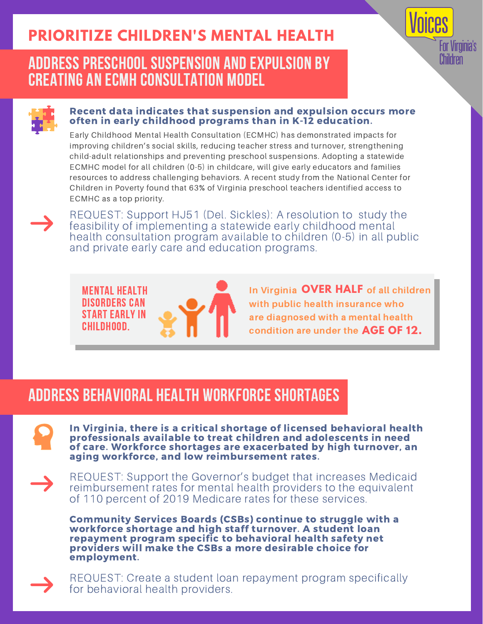# **PRIORITIZE CHILDREN'S MENTAL HEALTH**

### ADDRESS PRESCHOOL SUSPENSION AND EXPULSION BY CREATING AN ECMH CONSULTATION MODEL



#### Recent data indicates that suspension and expulsion occurs more often in early childhood programs than in K-12 education.

Early Childhood Mental Health Consultation (ECMHC) has demonstrated impacts for improving children's social skills, reducing teacher stress and turnover, strengthening child-adult relationships and preventing preschool suspensions. Adopting a statewide ECMHC model for all children (0-5) in childcare, will give early educators and families resources to address challenging behaviors. A recent study from the National Center for Children in Poverty found that 63% of Virginia preschool teachers identified access to ECMHC as a top priority.

REQUEST: Support HJ51 (Del. Sickles): A resolution to study the feasibility of implementing a statewide early childhood mental health consultation program available to children (0-5) in all public and private early care and education programs.

Mental health disorders can start early in childhood.



In Virginia **OVER HALF** of all children with public health insurance who are diagnosed with a mental health condition are under the **AGE OF 12.**

Inr Viroinia's **Children** 

### ADDRESS BEHAVIORAL HEALTH WORKFORCE SHORTAGES

In Virginia, there is a critical shortage of licensed behavioral health professionals available to treat children and adolescents in need of care. Workforce shortages are exacerbated by high turnover, an aging workforce, and low reimbursement rates.

REQUEST: Support the Governor's budget that increases Medicaid reimbursement rates for mental health providers to the equivalent of 110 percent of 2019 Medicare rates for these services.

Community Services Boards (CSBs) continue to struggle with a workforce shortage and high staff turnover. A student loan repayment program specific to behavioral health safety net providers will make the CSBs a more desirable choice for employment.

REQUEST: Create a student loan repayment program specifically for behavioral health providers.